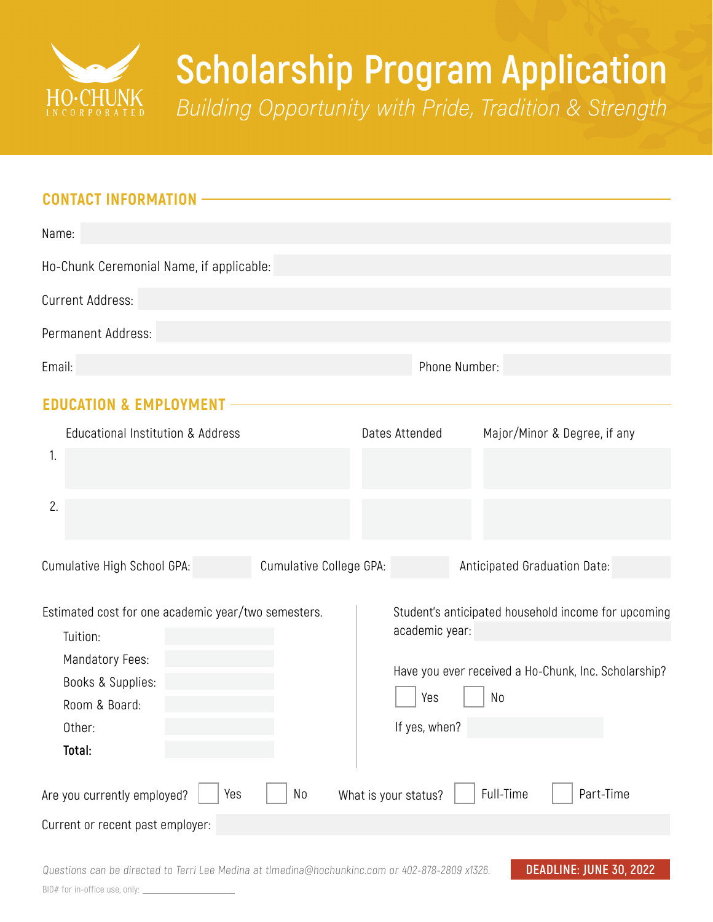

# **Scholarship Program Application**

Building Opportunity with Pride, Tradition & Strength

## **CONTACT INFORMATION**

| Name:                                                                                            |                                                                       |  |  |  |  |
|--------------------------------------------------------------------------------------------------|-----------------------------------------------------------------------|--|--|--|--|
| Ho-Chunk Ceremonial Name, if applicable:                                                         |                                                                       |  |  |  |  |
| <b>Current Address:</b>                                                                          |                                                                       |  |  |  |  |
| Permanent Address:                                                                               |                                                                       |  |  |  |  |
| Email:                                                                                           | Phone Number:                                                         |  |  |  |  |
| <b>EDUC</b><br>& EMPLOYME                                                                        |                                                                       |  |  |  |  |
| Educational Institution & Address                                                                | Major/Minor & Degree, if any<br>Dates Attended                        |  |  |  |  |
| 1.                                                                                               |                                                                       |  |  |  |  |
| 2.                                                                                               |                                                                       |  |  |  |  |
|                                                                                                  |                                                                       |  |  |  |  |
| Cumulative College GPA:<br>Cumulative High School GPA:<br>Anticipated Graduation Date:           |                                                                       |  |  |  |  |
| Estimated cost for one academic year/two semesters.<br>Tuition:                                  | Student's anticipated household income for upcoming<br>academic year: |  |  |  |  |
| <b>Mandatory Fees:</b>                                                                           | Have you ever received a Ho-Chunk, Inc. Scholarship?                  |  |  |  |  |
| Books & Supplies:<br>Room & Board:                                                               | Yes<br>No                                                             |  |  |  |  |
| Other:                                                                                           | If yes, when?                                                         |  |  |  |  |
| Total:                                                                                           |                                                                       |  |  |  |  |
| Full-Time<br>Part-Time<br>Yes<br>$\rm No$<br>What is your status?<br>Are you currently employed? |                                                                       |  |  |  |  |
| Current or recent past employer:                                                                 |                                                                       |  |  |  |  |

Questions can be directed to Terri Lee Medina at tlmedina@hochunkinc.com or 402-878-2809 x1326. BID# for in-office use, only: \_\_